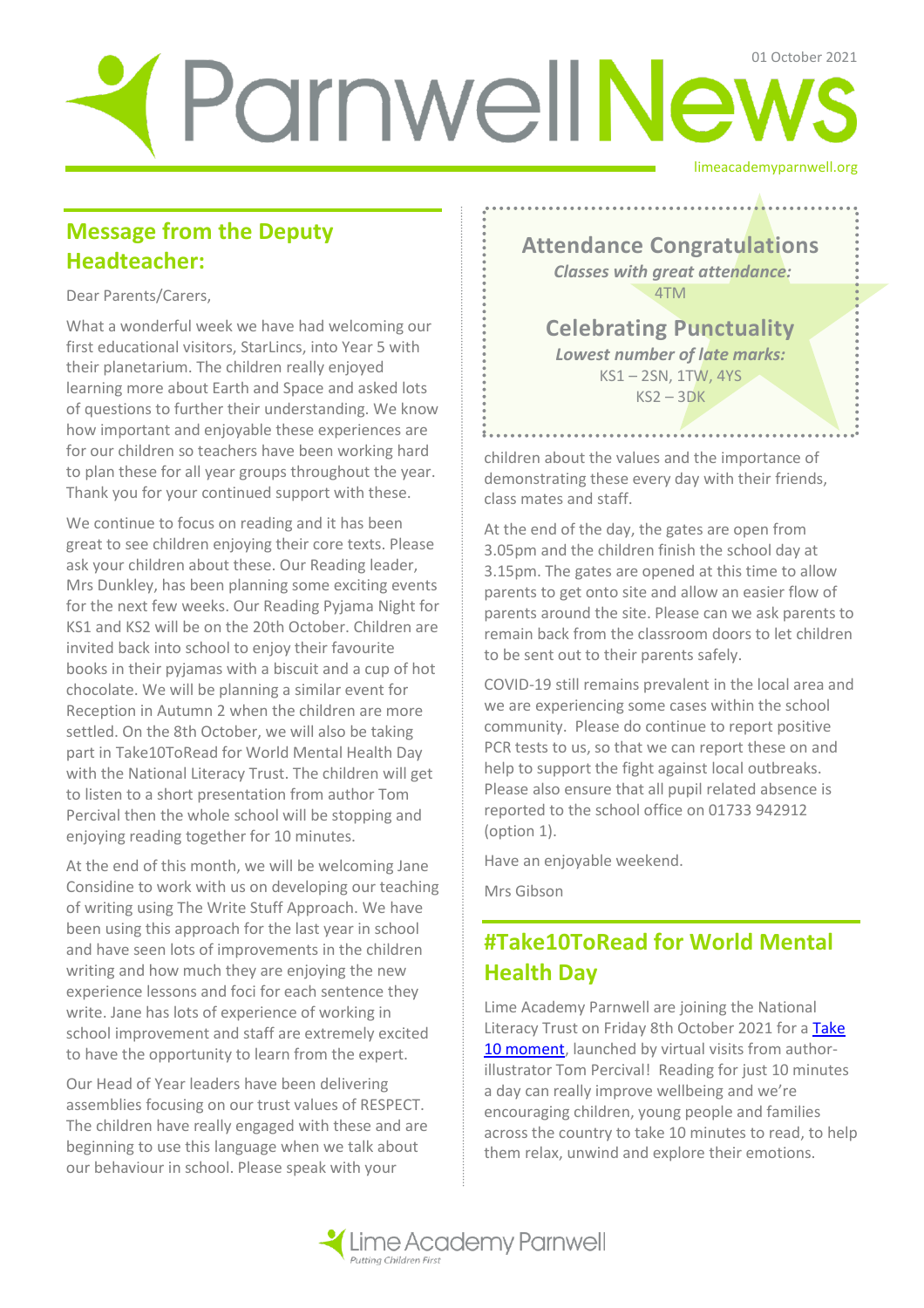# limeacademyparnwell.org ParnwellNews

## **Message from the Deputy Headteacher:**

Dear Parents/Carers,

What a wonderful week we have had welcoming our first educational visitors, StarLincs, into Year 5 with their planetarium. The children really enjoyed learning more about Earth and Space and asked lots of questions to further their understanding. We know how important and enjoyable these experiences are for our children so teachers have been working hard to plan these for all year groups throughout the year. Thank you for your continued support with these.

We continue to focus on reading and it has been great to see children enjoying their core texts. Please ask your children about these. Our Reading leader, Mrs Dunkley, has been planning some exciting events for the next few weeks. Our Reading Pyjama Night for KS1 and KS2 will be on the 20th October. Children are invited back into school to enjoy their favourite books in their pyjamas with a biscuit and a cup of hot chocolate. We will be planning a similar event for Reception in Autumn 2 when the children are more settled. On the 8th October, we will also be taking part in Take10ToRead for World Mental Health Day with the National Literacy Trust. The children will get to listen to a short presentation from author Tom Percival then the whole school will be stopping and enjoying reading together for 10 minutes.

At the end of this month, we will be welcoming Jane Considine to work with us on developing our teaching of writing using The Write Stuff Approach. We have been using this approach for the last year in school and have seen lots of improvements in the children writing and how much they are enjoying the new experience lessons and foci for each sentence they write. Jane has lots of experience of working in school improvement and staff are extremely excited to have the opportunity to learn from the expert.

Our Head of Year leaders have been delivering assemblies focusing on our trust values of RESPECT. The children have really engaged with these and are beginning to use this language when we talk about our behaviour in school. Please speak with your

**Attendance Congratulations** *Classes with great attendance:* 4TM

**Celebrating Punctuality**  *Lowest number of late marks:*  KS1 – 2SN, 1TW, 4YS  $KS2 - 3DK$ 

children about the values and the importance of demonstrating these every day with their friends, class mates and staff.

At the end of the day, the gates are open from 3.05pm and the children finish the school day at 3.15pm. The gates are opened at this time to allow parents to get onto site and allow an easier flow of parents around the site. Please can we ask parents to remain back from the classroom doors to let children to be sent out to their parents safely.

COVID-19 still remains prevalent in the local area and we are experiencing some cases within the school community. Please do continue to report positive PCR tests to us, so that we can report these on and help to support the fight against local outbreaks. Please also ensure that all pupil related absence is reported to the school office on 01733 942912 (option 1).

Have an enjoyable weekend.

Mrs Gibson

# **#Take10ToRead for World Mental Health Day**

Lime Academy Parnwell are joining the National Literacy Trust on Friday 8th October 2021 for a [Take](https://literacytrust.org.uk/communities/take-10/)  [10 moment,](https://literacytrust.org.uk/communities/take-10/) launched by virtual visits from authorillustrator Tom Percival! Reading for just 10 minutes a day can really improve wellbeing and we're encouraging children, young people and families across the country to take 10 minutes to read, to help them relax, unwind and explore their emotions.

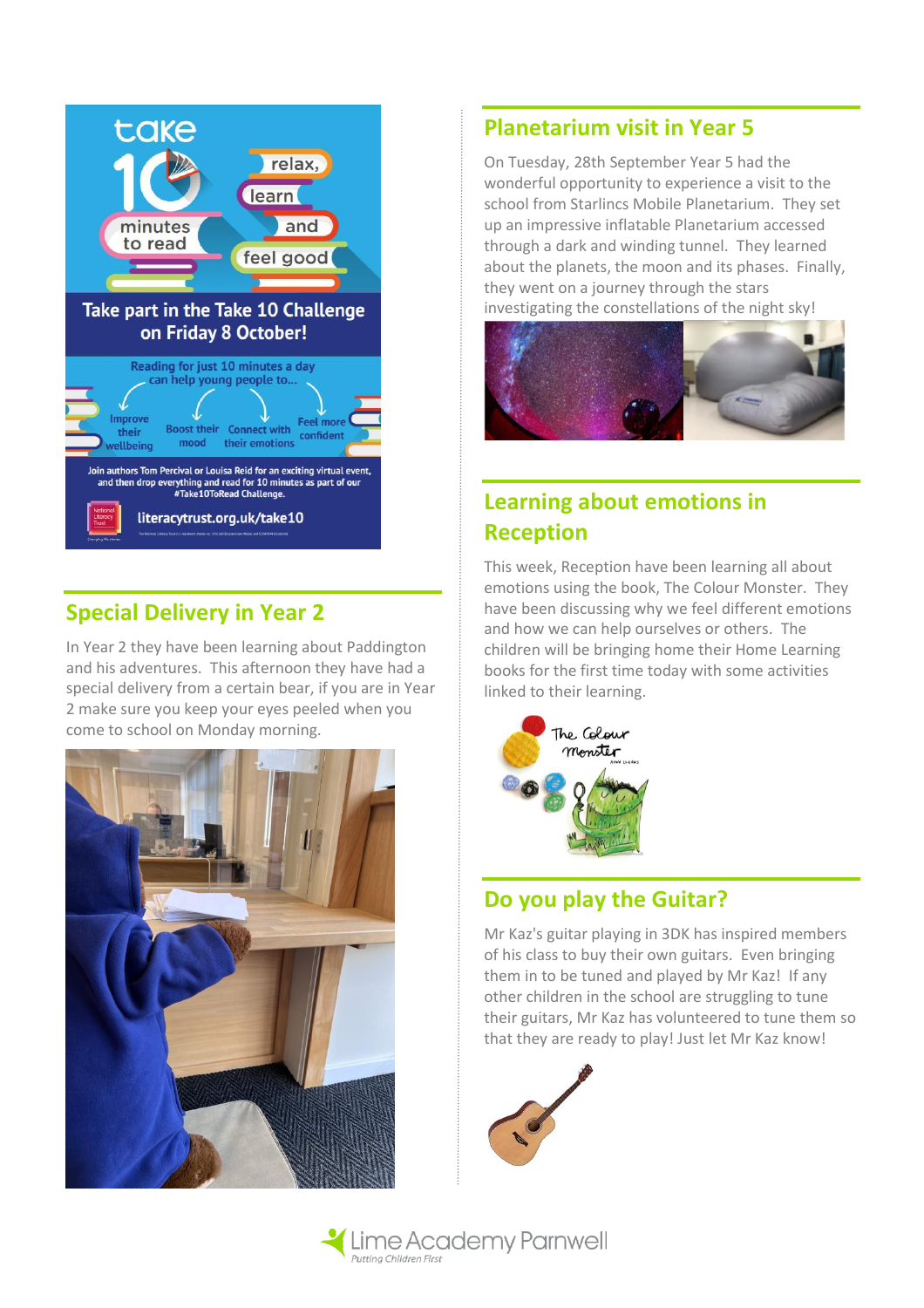

## **Special Delivery in Year 2**

In Year 2 they have been learning about Paddington and his adventures. This afternoon they have had a special delivery from a certain bear, if you are in Year 2 make sure you keep your eyes peeled when you come to school on Monday morning.



#### **Planetarium visit in Year 5**

On Tuesday, 28th September Year 5 had the wonderful opportunity to experience a visit to the school from Starlincs Mobile Planetarium. They set up an impressive inflatable Planetarium accessed through a dark and winding tunnel. They learned about the planets, the moon and its phases. Finally, they went on a journey through the stars investigating the constellations of the night sky!



# **Learning about emotions in Reception**

This week, Reception have been learning all about emotions using the book, The Colour Monster. They have been discussing why we feel different emotions and how we can help ourselves or others. The children will be bringing home their Home Learning books for the first time today with some activities linked to their learning.



## **Do you play the Guitar?**

Mr Kaz's guitar playing in 3DK has inspired members of his class to buy their own guitars. Even bringing them in to be tuned and played by Mr Kaz! If any other children in the school are struggling to tune their guitars, Mr Kaz has volunteered to tune them so that they are ready to play! Just let Mr Kaz know!